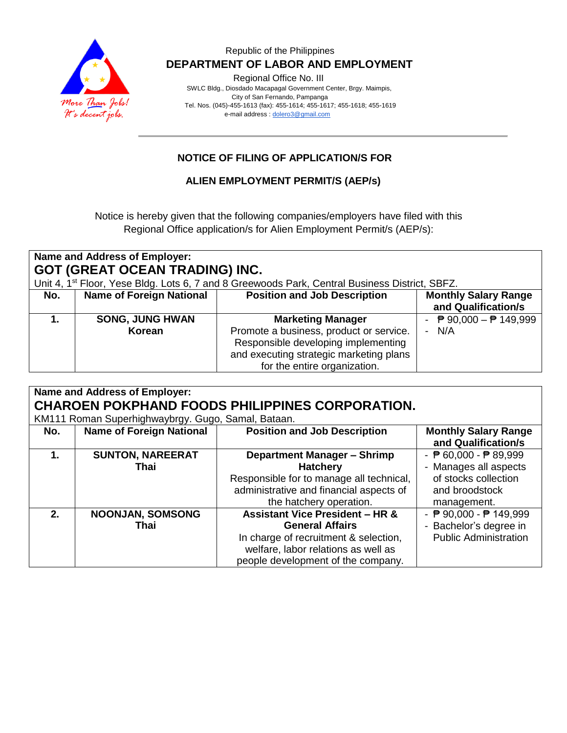

#### Republic of the Philippines  **DEPARTMENT OF LABOR AND EMPLOYMENT**

Regional Office No. III

 SWLC Bldg., Diosdado Macapagal Government Center, Brgy. Maimpis, City of San Fernando, Pampanga Tel. Nos. (045)-455-1613 (fax): 455-1614; 455-1617; 455-1618; 455-1619 e-mail address [: dolero3@gmail.com](mailto:dolero3@gmail.com)

## **NOTICE OF FILING OF APPLICATION/S FOR**

### **ALIEN EMPLOYMENT PERMIT/S (AEP/s)**

Notice is hereby given that the following companies/employers have filed with this Regional Office application/s for Alien Employment Permit/s (AEP/s):

| Name and Address of Employer:<br><b>GOT (GREAT OCEAN TRADING) INC.</b><br>Unit 4, 1 <sup>st</sup> Floor, Yese Bldg. Lots 6, 7 and 8 Greewoods Park, Central Business District, SBFZ. |                                  |                                                                                                                                                                                       |                                                               |  |
|--------------------------------------------------------------------------------------------------------------------------------------------------------------------------------------|----------------------------------|---------------------------------------------------------------------------------------------------------------------------------------------------------------------------------------|---------------------------------------------------------------|--|
| No.                                                                                                                                                                                  | <b>Name of Foreign National</b>  | <b>Position and Job Description</b>                                                                                                                                                   | <b>Monthly Salary Range</b><br>and Qualification/s            |  |
|                                                                                                                                                                                      | <b>SONG, JUNG HWAN</b><br>Korean | <b>Marketing Manager</b><br>Promote a business, product or service.<br>Responsible developing implementing<br>and executing strategic marketing plans<br>for the entire organization. | <sup>2</sup> 90,000 – <sup>2</sup> 149,999<br>$\sim$<br>- N/A |  |

| <b>Name and Address of Employer:</b><br><b>CHAROEN POKPHAND FOODS PHILIPPINES CORPORATION.</b><br>KM111 Roman Superhighwaybrgy. Gugo, Samal, Bataan. |                                 |                                                                                                                                                                                            |                                                                                                                                   |  |
|------------------------------------------------------------------------------------------------------------------------------------------------------|---------------------------------|--------------------------------------------------------------------------------------------------------------------------------------------------------------------------------------------|-----------------------------------------------------------------------------------------------------------------------------------|--|
| No.                                                                                                                                                  | <b>Name of Foreign National</b> | <b>Position and Job Description</b>                                                                                                                                                        | <b>Monthly Salary Range</b><br>and Qualification/s                                                                                |  |
| 1.                                                                                                                                                   | <b>SUNTON, NAREERAT</b><br>Thai | <b>Department Manager - Shrimp</b><br><b>Hatchery</b><br>Responsible for to manage all technical,<br>administrative and financial aspects of<br>the hatchery operation.                    | - $\overline{P}$ 60,000 - $\overline{P}$ 89,999<br>- Manages all aspects<br>of stocks collection<br>and broodstock<br>management. |  |
| 2.                                                                                                                                                   | <b>NOONJAN, SOMSONG</b><br>Thai | <b>Assistant Vice President - HR &amp;</b><br><b>General Affairs</b><br>In charge of recruitment & selection,<br>welfare, labor relations as well as<br>people development of the company. | - ₱ 90,000 - ₱ 149,999<br>- Bachelor's degree in<br><b>Public Administration</b>                                                  |  |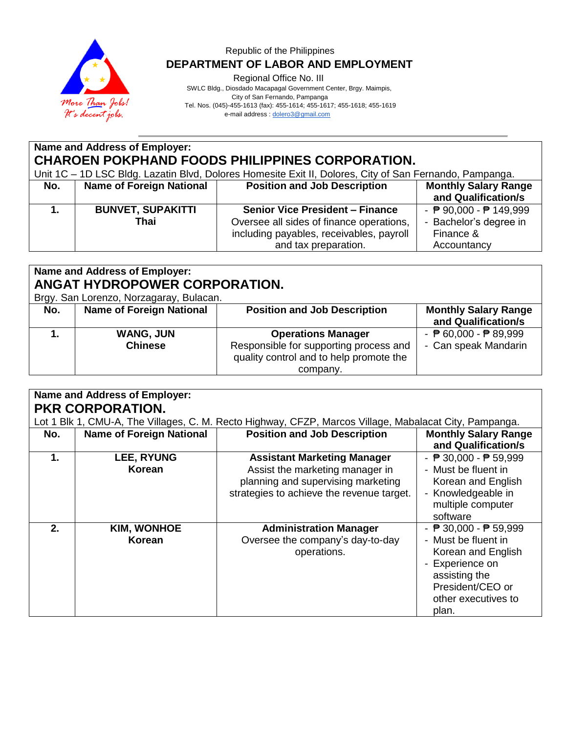

### Republic of the Philippines  **DEPARTMENT OF LABOR AND EMPLOYMENT**

Regional Office No. III

 SWLC Bldg., Diosdado Macapagal Government Center, Brgy. Maimpis, City of San Fernando, Pampanga Tel. Nos. (045)-455-1613 (fax): 455-1614; 455-1617; 455-1618; 455-1619

e-mail address [: dolero3@gmail.com](mailto:dolero3@gmail.com)

# **Name and Address of Employer: CHAROEN POKPHAND FOODS PHILIPPINES CORPORATION.**

Unit 1C – 1D LSC Bldg. Lazatin Blvd, Dolores Homesite Exit II, Dolores, City of San Fernando, Pampanga.

| No. | <b>Name of Foreign National</b>  | <b>Position and Job Description</b>                                                                                            | <b>Monthly Salary Range</b><br>and Qualification/s                                      |
|-----|----------------------------------|--------------------------------------------------------------------------------------------------------------------------------|-----------------------------------------------------------------------------------------|
|     | <b>BUNVET, SUPAKITTI</b><br>Thai | <b>Senior Vice President - Finance</b><br>Oversee all sides of finance operations,<br>including payables, receivables, payroll | - $\overline{P}$ 90,000 - $\overline{P}$ 149,999<br>- Bachelor's degree in<br>Finance & |
|     |                                  | and tax preparation.                                                                                                           | Accountancy                                                                             |

# **Name and Address of Employer: ANGAT HYDROPOWER CORPORATION.**

Brgy. San Lorenzo, Norzagaray, Bulacan.

| Brgy. San Lorenzo, Norzagaray, Bulacan. |                                    |                                                                                                                            |                                                                         |  |
|-----------------------------------------|------------------------------------|----------------------------------------------------------------------------------------------------------------------------|-------------------------------------------------------------------------|--|
| No.                                     | <b>Name of Foreign National</b>    | <b>Position and Job Description</b>                                                                                        | <b>Monthly Salary Range</b><br>and Qualification/s                      |  |
|                                         | <b>WANG, JUN</b><br><b>Chinese</b> | <b>Operations Manager</b><br>Responsible for supporting process and<br>quality control and to help promote the<br>company. | - $\overline{P}$ 60,000 - $\overline{P}$ 89,999<br>- Can speak Mandarin |  |

| <b>Name and Address of Employer:</b><br><b>PKR CORPORATION.</b> |                              |                                                                                                                                                          |                                                                                                                                                                                      |  |
|-----------------------------------------------------------------|------------------------------|----------------------------------------------------------------------------------------------------------------------------------------------------------|--------------------------------------------------------------------------------------------------------------------------------------------------------------------------------------|--|
|                                                                 |                              | Lot 1 Blk 1, CMU-A, The Villages, C. M. Recto Highway, CFZP, Marcos Village, Mabalacat City, Pampanga.                                                   |                                                                                                                                                                                      |  |
| No.                                                             | Name of Foreign National     | <b>Position and Job Description</b>                                                                                                                      | <b>Monthly Salary Range</b><br>and Qualification/s                                                                                                                                   |  |
| 1.                                                              | <b>LEE, RYUNG</b><br>Korean  | <b>Assistant Marketing Manager</b><br>Assist the marketing manager in<br>planning and supervising marketing<br>strategies to achieve the revenue target. | - $\overline{P}$ 30,000 - $\overline{P}$ 59,999<br>- Must be fluent in<br>Korean and English<br>- Knowledgeable in<br>multiple computer<br>software                                  |  |
| 2 <sub>1</sub>                                                  | <b>KIM, WONHOE</b><br>Korean | <b>Administration Manager</b><br>Oversee the company's day-to-day<br>operations.                                                                         | - $\overline{P}$ 30,000 - $\overline{P}$ 59,999<br>- Must be fluent in<br>Korean and English<br>- Experience on<br>assisting the<br>President/CEO or<br>other executives to<br>plan. |  |